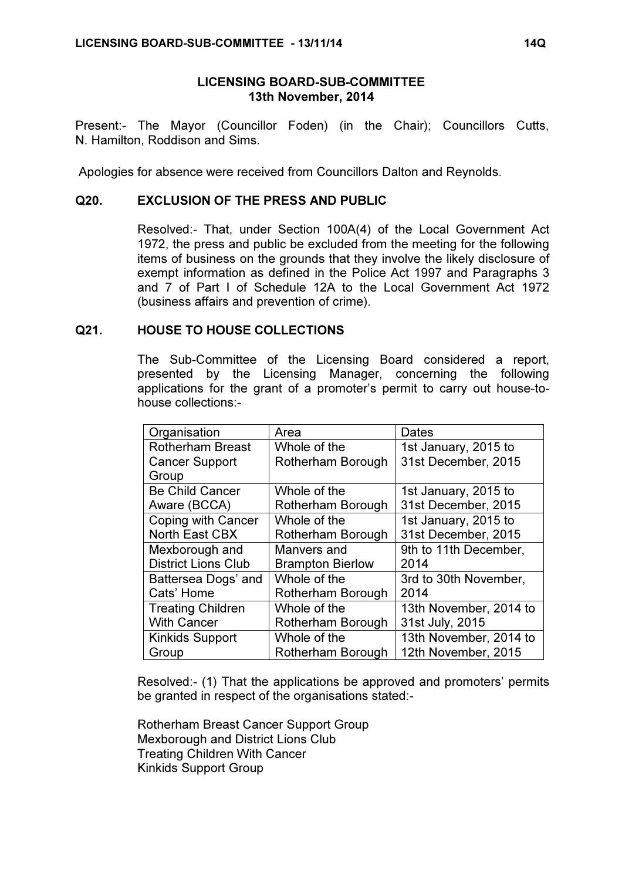## LICENSING BOARD-SUB-COMMITTEE 13th November, 2014

Present:- The Mayor (Councillor Foden) (in the Chair); Councillors Cutts, N. Hamilton, Roddison and Sims.

Apologies for absence were received from Councillors Dalton and Reynolds.

## Q20. EXCLUSION OF THE PRESS AND PUBLIC

 Resolved:- That, under Section 100A(4) of the Local Government Act 1972, the press and public be excluded from the meeting for the following items of business on the grounds that they involve the likely disclosure of exempt information as defined in the Police Act 1997 and Paragraphs 3 and 7 of Part I of Schedule 12A to the Local Government Act 1972 (business affairs and prevention of crime).

## Q21. HOUSE TO HOUSE COLLECTIONS

 The Sub-Committee of the Licensing Board considered a report, presented by the Licensing Manager, concerning the following applications for the grant of a promoter's permit to carry out house-tohouse collections:-

| Organisation               | Area                    | Dates                  |
|----------------------------|-------------------------|------------------------|
| <b>Rotherham Breast</b>    | Whole of the            | 1st January, 2015 to   |
| <b>Cancer Support</b>      | Rotherham Borough       | 31st December, 2015    |
| Group                      |                         |                        |
| <b>Be Child Cancer</b>     | Whole of the            | 1st January, 2015 to   |
| Aware (BCCA)               | Rotherham Borough       | 31st December, 2015    |
| Coping with Cancer         | Whole of the            | 1st January, 2015 to   |
| North East CBX             | Rotherham Borough       | 31st December, 2015    |
| Mexborough and             | Manvers and             | 9th to 11th December,  |
| <b>District Lions Club</b> | <b>Brampton Bierlow</b> | 2014                   |
| Battersea Dogs' and        | Whole of the            | 3rd to 30th November,  |
| Cats' Home                 | Rotherham Borough       | 2014                   |
| <b>Treating Children</b>   | Whole of the            | 13th November, 2014 to |
| <b>With Cancer</b>         | Rotherham Borough       | 31st July, 2015        |
| <b>Kinkids Support</b>     | Whole of the            | 13th November, 2014 to |
| Group                      | Rotherham Borough       | 12th November, 2015    |

Resolved:- (1) That the applications be approved and promoters' permits be granted in respect of the organisations stated:-

Rotherham Breast Cancer Support Group Mexborough and District Lions Club Treating Children With Cancer Kinkids Support Group